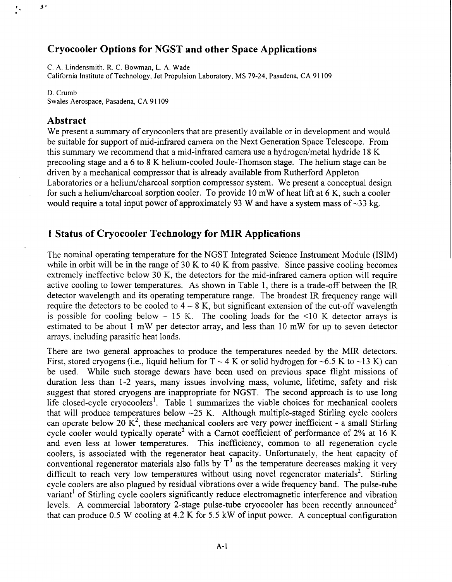# **Cryocooler Options for NGST and other Space Applications**

C. A. Lindensmith. R. C. Bowman, L. A. Wade

California Institute of Technology, Jet Propulsion Laboratory, **MS** 79-24, Pasadena, CA 91 109

D. Crumb

 $\mathbf{F}$ 

Swales Aerospace, Pasadena, CA **9** 1 109

### **Abstract**

We present a summary of cryocoolers that are presently available or in development and would be suitable for support of mid-infrared camera on the Next Generation Space Telescope. From this summary we recommend that a mid-infrared camera use a hydrogen/metal hydride  $18 \text{ K}$ precooling stage and a 6 to **8** K helium-cooled Joule-Thomson stage. The helium stage can be driven by a mechanical compressor that is already available from Rutherford Appleton Laboratories or a helium/charcoal sorption compressor system. We present a conceptual design for such a helium/charcoal sorption cooler. To provide  $10 \text{ mW}$  of heat lift at 6 K, such a cooler would require a total input power of approximately 93 W and have a system mass of -33 **kg.** 

## **1 Status of Cryocooler Technology for MIR Applications**

The nominal operating temperature for the NGST Integrated Science Instrument Module (ISIM) while in orbit will be in the range of  $30 \text{ K}$  to  $40 \text{ K}$  from passive. Since passive cooling becomes extremely ineffective below 30 K, the detectors for the mid-infrared camera option will require active cooling to lower temperatures. As shown in Table 1, there is a trade-off between the IR detector wavelength and its operating temperature range. The broadest IR frequency range will require the detectors to be cooled to  $4 - 8$  K, but significant extension of the cut-off wavelength is possible for cooling below  $\sim$  15 K. The cooling loads for the  $\leq$ 10 K detector arrays is estimated to be about 1 mW per detector array, and less than 10 mW for up to seven detector arrays, including parasitic heat loads.

There are two general approaches to produce the temperatures needed by the MIR detectors. First, stored cryogens (i.e., liquid helium for  $T \sim 4$  K or solid hydrogen for  $\sim 6.5$  K to  $\sim 13$  K) can be used. While such storage dewars have been used on previous space flight missions of duration less than 1-2 years, many issues involving mass, volume, lifetime, safety and risk suggest that stored cryogens are inappropriate for NGST. The second approach is to use long life closed-cycle cryocoolers'. Table 1 summarizes the viable choices for mechanical coolers that will produce temperatures below  $-25$  K. Although multiple-staged Stirling cycle coolers can operate below 20  $\mathbf{K}^2$ , these mechanical coolers are very power inefficient - a small Stirling cycle cooler would typically operate<sup>2</sup> with a Carnot coefficient of performance of 2% at 16 K and even less at lower temperatures. This inefficiency, common to all regeneration cycle coolers, is associated with the regenerator heat capacity. Unfortunately, the heat capacity of conventional regenerator materials also falls by  $T<sup>3</sup>$  as the temperature decreases making it very difficult to reach very low temperatures without using novel regenerator materials<sup>2</sup>. Stirling cycle coolers are also plagued by residual vibrations over a wide frequency band. The pulse-tube variant<sup>1</sup> of Stirling cycle coolers significantly reduce electromagnetic interference and vibration levels. A commercial laboratory 2-stage pulse-tube cryocooler has been recently announced<sup>3</sup> that can produce 0.5 W cooling at 4.2 K for 5.5 kW of input power. **A** conceptual configuration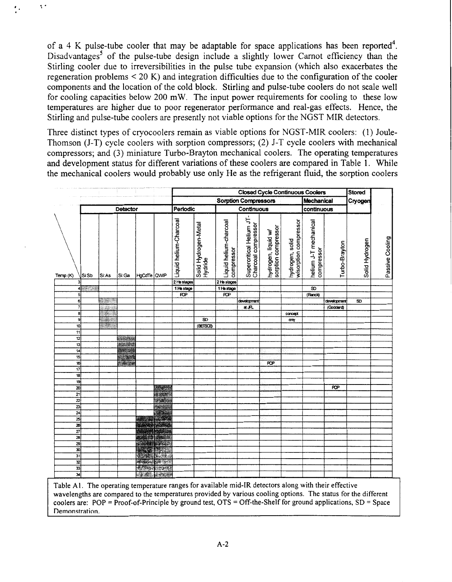of a 4 K pulse-tube cooler that may be adaptable for space applications has been reported<sup>4</sup>. Disadvantages<sup>5</sup> of the pulse-tube design include a slightly lower Carnot efficiency than the Stirling cooler due to irreversibilities in the pulse tube expansion (which also exacerbates the regeneration problems < 20 K) and integration difficulties due to the configuration of the cooler components and the location of the cold block. Stirling and pulse-tube coolers do not scale well for cooling capacities below 200 mW. The input power requirements for cooling to these low temperatures are higher due to poor regenerator performance and real-gas effects. Hence, the Stirling and pulse-tube coolers are presently not viable options for the NGST MIR detectors.

 $\ddot{\phantom{1}}$ 

Three distinct types of cryocoolers remain as viable options for NGST-MIR coolers: **(1)** Joule-Thomson (J-T) cycle coolers with sorption compressors; (2) J-T cycle coolers with mechanical compressors; and (3) miniature Turbo-Brayton mechanical coolers. The operating temperatures and development status for different variations of these coolers are compared in Table 1. While the mechanical coolers would probably use only He as the refrigerant fluid, the sorption coolers

|                         |          |          |              |                             |                   |                             |                                 |                        |                                                 |                                            |                                          | <b>Closed Cycle Continuous Coolers</b> |               | Stored         |                 |
|-------------------------|----------|----------|--------------|-----------------------------|-------------------|-----------------------------|---------------------------------|------------------------|-------------------------------------------------|--------------------------------------------|------------------------------------------|----------------------------------------|---------------|----------------|-----------------|
|                         |          |          |              |                             |                   | <b>Sorption Compressors</b> |                                 |                        |                                                 |                                            | Mechanical                               |                                        |               | Cryogen        |                 |
|                         | Detector |          |              | Periodic                    |                   | Continuous                  |                                 |                        |                                                 | continuous                                 |                                          |                                        |               |                |                 |
|                         |          |          |              |                             |                   |                             |                                 |                        |                                                 |                                            |                                          |                                        |               |                |                 |
|                         |          |          |              |                             |                   | Liquid helium-Charcoal      | Solid Hydrogen-Metal<br>Hydride | Liquid helium-charcoal | Supercritical Helium JT-<br>Charcoal compressor | sorption compressor<br>hydrogen, liquid w/ | hydrogen, solid<br>w/sorption compressor | helium J-T mechanical                  |               |                | Passive Cooling |
| Temp (K)                | Si:Sb    | Si:As    | Si:Ga        | HgCaTe QWP                  |                   |                             |                                 | compressor             |                                                 |                                            |                                          | compressor                             | Turbo-Brayton | Solid Hydrogen |                 |
|                         |          |          |              |                             |                   | 2 He stages                 |                                 | 2 He stages            |                                                 |                                            |                                          |                                        |               |                |                 |
|                         | $4 - 1$  |          |              |                             |                   | 1 He stage                  |                                 | 1 He stage             |                                                 |                                            |                                          | $\overline{\mathbf{s}}$                |               |                |                 |
| 5 <sup>1</sup>          |          |          |              |                             |                   | $\overline{RP}$             |                                 | $\overline{PQP}$       |                                                 |                                            |                                          | (Ranck)                                |               |                |                 |
| 6                       |          | $1 - 1$  |              |                             |                   |                             |                                 |                        | development                                     |                                            |                                          |                                        | development   | SD             |                 |
| $\overline{7}$          |          | $-28.13$ |              |                             |                   |                             |                                 |                        | at JFL                                          |                                            |                                          |                                        | (Goddard)     |                |                 |
| 8                       |          | Start of |              |                             |                   |                             |                                 |                        |                                                 |                                            | concept                                  |                                        |               |                |                 |
| 9                       |          |          |              |                             |                   |                             | SD <sub>1</sub>                 |                        |                                                 |                                            | only                                     |                                        |               |                |                 |
| 10                      |          | 2. Kabup |              |                             |                   |                             | (BETSOB)                        |                        |                                                 |                                            |                                          |                                        |               |                |                 |
| 11<br>12                |          |          |              |                             |                   |                             |                                 |                        |                                                 |                                            |                                          |                                        |               |                |                 |
| 13                      |          |          | rangens      |                             |                   |                             |                                 |                        |                                                 |                                            |                                          |                                        |               |                |                 |
| 14                      |          |          | <b>WELLY</b> |                             |                   |                             |                                 |                        |                                                 |                                            |                                          |                                        |               |                |                 |
| 15                      |          |          |              |                             |                   |                             |                                 |                        |                                                 |                                            |                                          |                                        |               |                |                 |
| 16                      |          |          | <b>CAST</b>  |                             |                   |                             |                                 |                        |                                                 | <b>POP</b>                                 |                                          |                                        |               |                |                 |
| 17                      |          |          |              |                             |                   |                             |                                 |                        |                                                 |                                            |                                          |                                        |               |                |                 |
| 18                      |          |          |              |                             |                   |                             |                                 |                        |                                                 |                                            |                                          |                                        |               |                |                 |
| 19                      |          |          |              |                             |                   |                             |                                 |                        |                                                 |                                            |                                          |                                        |               |                |                 |
| $\overline{\mathbf{z}}$ |          |          |              |                             | <b>BAKER</b>      |                             |                                 |                        |                                                 |                                            |                                          |                                        | <b>ROP</b>    |                |                 |
| 21                      |          |          |              |                             | <b>WINDER</b>     |                             |                                 |                        |                                                 |                                            |                                          |                                        |               |                |                 |
| $\overline{\mathbf{z}}$ |          |          |              |                             | Pakica            |                             |                                 |                        |                                                 |                                            |                                          |                                        |               |                |                 |
| $\overline{\mathbf{z}}$ |          |          |              |                             | <b>SAN DES</b>    |                             |                                 |                        |                                                 |                                            |                                          |                                        |               |                |                 |
| $\overline{24}$         |          |          |              |                             | <b>EXECUTIVE</b>  |                             |                                 |                        |                                                 |                                            |                                          |                                        |               |                |                 |
| 25                      |          |          |              |                             | 动学                |                             |                                 |                        |                                                 |                                            |                                          |                                        |               |                |                 |
| x                       |          |          |              | 2000 1000                   |                   |                             |                                 |                        |                                                 |                                            |                                          |                                        |               |                |                 |
| $\overline{27}$         |          |          |              |                             | <b>STATISTICS</b> |                             |                                 |                        |                                                 |                                            |                                          |                                        |               |                |                 |
| 28                      |          |          |              |                             | <b>RA LIGHT</b>   |                             |                                 |                        |                                                 |                                            |                                          |                                        |               |                |                 |
| $\overline{29}$         |          |          |              |                             |                   |                             |                                 |                        |                                                 |                                            |                                          |                                        |               |                |                 |
| 30                      |          |          |              |                             | a Mad             |                             |                                 |                        |                                                 |                                            |                                          |                                        |               |                |                 |
| 31                      |          |          |              |                             | distribution.     |                             |                                 |                        |                                                 |                                            |                                          |                                        |               |                |                 |
| $\overline{\mathbf{z}}$ |          |          |              | <b>Received</b>             | $-8.12.3$         |                             |                                 |                        |                                                 |                                            |                                          |                                        |               |                |                 |
| $\overline{\mathbf{3}}$ |          |          |              | $\rightarrow$               | <b>BEE</b>        |                             |                                 |                        |                                                 |                                            |                                          |                                        |               |                |                 |
| 피                       |          |          |              | <b>Alle give I surround</b> |                   |                             |                                 |                        |                                                 |                                            |                                          |                                        |               |                |                 |

Table **Ai.** The operating temperature ranges for available mid-IR detectors along with their effective wavelengths are compared to the temperatures provided by various cooling options. The status for the different coolers are:  $POP = Proof-of-Principle by ground test,  $OTS = Off-the-Shelf$  for ground applications,  $SD = Space$$ **Demonstration**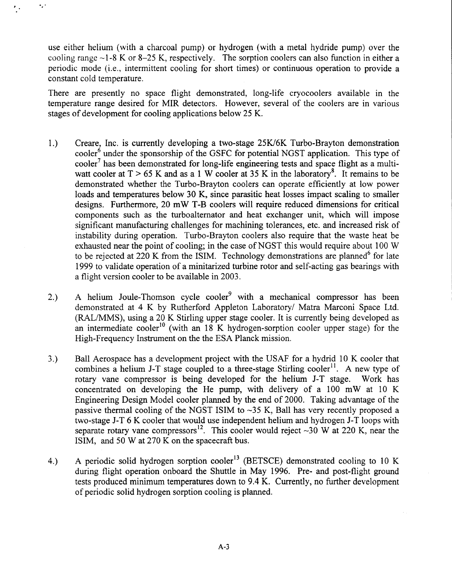use either helium (with a charcoal pump) or hydrogen (with a metal hydride pump) over the cooling range  $\sim$ 1-8 K or 8–25 K, respectively. The sorption coolers can also function in either a periodic mode (i.e., intermittent cooling for short times) or continuous operation to provide a constant cold temperature.

\*. *I.* 

There are presently no space flight demonstrated, long-life cryocoolers available in the temperature range desired for MIR detectors. However, several of the coolers are in various stages of development for cooling applications below 25 K.

- 1.) Creare, Inc. is currently developing a two-stage 25W6K Turbo-Brayton demonstration cooler<sup>6</sup> under the sponsorship of the GSFC for potential NGST application. This type of  $\text{cooler}^7$  has been demonstrated for long-life engineering tests and space flight as a multiwatt cooler at  $T > 65$  K and as a 1 W cooler at 35 K in the laboratory<sup>8</sup>. It remains to be demonstrated whether the Turbo-Brayton coolers can operate efficiently at low power loads and temperatures below 30 K, since parasitic heat losses impact scaling to smaller designs. Furthermore, 20 mW T-B coolers will require reduced dimensions for critical components such as the turboalternator and heat exchanger unit, which will impose significant manufacturing challenges for machining tolerances, etc. and increased risk of instability during operation. Turbo-Brayton coolers also require that the waste heat be exhausted near the point of cooling; in the case of NGST this would require about 100 W to be rejected at 220 K from the ISIM. Technology demonstrations are planned<sup>6</sup> for late 1999 to validate operation of a minitarized turbine rotor and self-acting gas bearings with a flight version cooler to be available in 2003.
- 2.) A helium Joule-Thomson cycle cooler<sup>9</sup> with a mechanical compressor has been demonstrated at **4** K by Rutherford Appleton Laboratory/ Matra Marconi Space Ltd. (RAL/MMS), using a 20 K Stirling upper stage cooler. It is currently being developed as an intermediate cooler<sup>10</sup> (with an 18 K hydrogen-sorption cooler upper stage) for the High-Frequency Instrument on the the ESA Planck mission.
- *3.)* Ball Aerospace has a development project with the USAF for a hydrid 10 K cooler that combines a helium J-T stage coupled to a three-stage Stirling cooler<sup>11</sup>. A new type of rotary vane compressor is being developed for the helium J-T stage. Work has concentrated on developing the He pump, with delivery of a 100 mW at 10 K Engineering Design Model cooler planned by the end of 2000. Taking advantage of the passive thermal cooling of the NGST ISIM to  $\sim$ 35 K, Ball has very recently proposed a two-stage J-T 6 K cooler that would use independent helium and hydrogen J-T loops with separate rotary vane compressors<sup>12</sup>. This cooler would reject  $\sim$ 30 W at 220 K, near the ISIM, and 50 W at 270 K on the spacecraft bus.
- 4.) A periodic solid hydrogen sorption cooler<sup>13</sup> (BETSCE) demonstrated cooling to 10 K during flight operation onboard the Shuttle in May 1996. Pre- and post-flight ground tests produced minimum temperatures down to 9.4 K. Currently, no further development of periodic solid hydrogen sorption cooling is planned.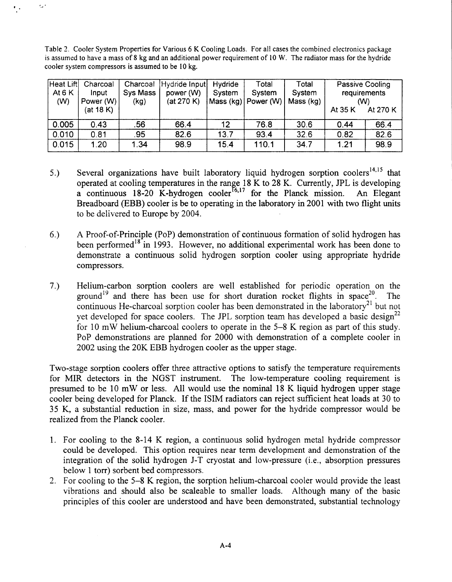Table 2. Cooler System Properties for Various *6* K Cooling Loads. For all cases the combined electronics package **is** assumed to have a mass of **8** kg and an additional power requirement of 10 W. The radiator mass for the hydride cooler system compressors **is** assumed to be 10 **kg.** 

,. **<sup>D</sup>**

| Heat Lift<br>At $6K$<br>(W) | Charcoal<br>Input<br>Power (W)<br>(at 18 K) | Charcoal<br>Sys Mass<br>(kg) | Hydride Input<br>power (W)<br>(at 270 K) | Hydride<br>Svstem | Total<br>System<br> Mass (kg)   Power (W)   Mass (kg) | Total<br>System | At 35 K | Passive Cooling<br>requirements<br>(W)<br>At 270 K |
|-----------------------------|---------------------------------------------|------------------------------|------------------------------------------|-------------------|-------------------------------------------------------|-----------------|---------|----------------------------------------------------|
| 0.005                       | 0.43                                        | .56                          | 66.4                                     | 12                | 76.8                                                  | 30.6            | 0.44    | 66.4                                               |
| 0.010                       | 0.81                                        | .95                          | 82.6                                     | 13.7              | 93.4                                                  | 32.6            | 0.82    | 82.6                                               |
| 0.015                       | 1.20                                        | .34                          | 98.9                                     | 15.4              | 110.1                                                 | 34.7            | 1.21    | 98.9                                               |

- 5.) Several organizations have built laboratory liquid hydrogen sorption coolers<sup>14,15</sup> that operated at cooling temperatures in the range 18 K to 28 K. Currently, JPL is developing a continuous 18-20 K-hydrogen cooler<sup>16,17</sup> for the Planck mission. An Elegant Breadboard (EBB) cooler is be to operating in the laboratory in 2001 with two flight units to be delivered to Europe by 2004.
- **6.)** A Proof-of-Principle (POP) demonstration of continuous formation of solid hydrogen has been performed<sup>18</sup> in 1993. However, no additional experimental work has been done to demonstrate a continuous solid hydrogen sorption cooler using appropriate hydride compressors.
- **7.)** Helium-carbon sorption coolers are well established for periodic operation on the ground<sup>19</sup> and there has been use for short duration rocket flights in space<sup>20</sup>. The continuous He-charcoal sorption cooler has been demonstrated in the laboratory<sup>21</sup> but not yet developed for space coolers. The JPL sorption team has developed a basic design<sup>22</sup> for 10 mW helium-charcoal coolers to operate in the 5-8 K region as part of this study. POP demonstrations are planned for 2000 with demonstration of a complete cooler in 2002 using the 20K EBB hydrogen cooler as the upper stage.

Two-stage sorption coolers offer three attractive options to satisfy the temperature requirements for MIR detectors in the NGST instrument. The low-temperature cooling requirement is presumed to be 10 mW or less. All would use the nominal 18 K liquid hydrogen upper stage cooler being developed for Planck. If the ISIM radiators can reject sufficient heat loads at 30 to 35 K, a substantial reduction in size, mass, and power for the hydride compressor would be realized from the Planck cooler.

- 1. For cooling to the 8-14 K region, a continuous solid hydrogen metal hydride compressor could be developed. This option requires near term development and demonstration of the integration of the solid hydrogen J-T cryostat and low-pressure (i.e., absorption pressures below 1 torr) sorbent bed compressors.
- 2. For cooling to the 5-8 K region, the sorption helium-charcoal cooler would provide the least vibrations and should also be scaleable to smaller loads. Although many of the basic principles of this cooler are understood and have been demonstrated, substantial technology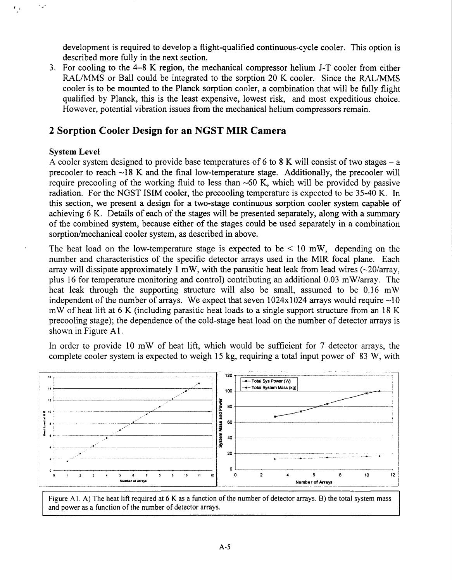development is required to develop a flight-qualified continuous-cycle cooler. This option is described more fully in the next section.

3. For cooling to the 4-8 K region, the mechanical compressor helium J-T cooler from either RAL/MMS or Ball could be integrated to the sorption 20 K cooler. Since the RAL/MMS cooler is to be mounted to the Planck sorption cooler, a combination that will be fully flight qualified by Planck, this is the least expensive, lowest risk, and most expeditious choice. However, potential vibration issues from the mechanical helium compressors remain.

# **2 Sorption Cooler Design for an NGST MIR Camera**

### **System Level**

 $\ddotsc$ 

**<sup>A</sup>**cooler system designed to provide base temperatures of 6 to 8 K will consist of two stages - a precooler to reach  $\sim$ 18 K and the final low-temperature stage. Additionally, the precooler will require precooling of the working fluid to less than  $\sim 60$  K, which will be provided by passive radiation. For the NGST ISIM cooler, the precooling temperature is expected to be 35-40 K. In this section, we present a design for a two-stage continuous sorption cooler system capable of achieving 6 K. Details of each of the stages will be presented separately, along with a summary of the combined system, because either of the stages could be used separately in a combination sorption/mechanical cooler system, as described in above.

The heat load on the low-temperature stage is expected to be  $\leq 10$  mW, depending on the number and characteristics of the specific detector arrays used in the MIR focal plane. Each array will dissipate approximately 1 mW, with the parasitic heat leak from lead wires  $\left(\sim\right)20/\text{array}$ , plus 16 for temperature monitoring and control) contributing an additional 0.03 mW/array. The heat leak through the supporting structure will also be small, assumed to be 0.16 mW independent of the number of arrays. We expect that seven  $1024x1024$  arrays would require  $\sim10$ mW of heat lift at 6 K (including parasitic heat loads to a single support structure from an 18 K precooling stage); the dependence of the cold-stage heat load on the number of detector arrays is shown in Figure A1 .

In order to provide 10 mW of heat lift, which would be sufficient for 7 detector arrays, the complete cooler system is expected to weigh 15 kg, requiring a total input power of 83 W, with



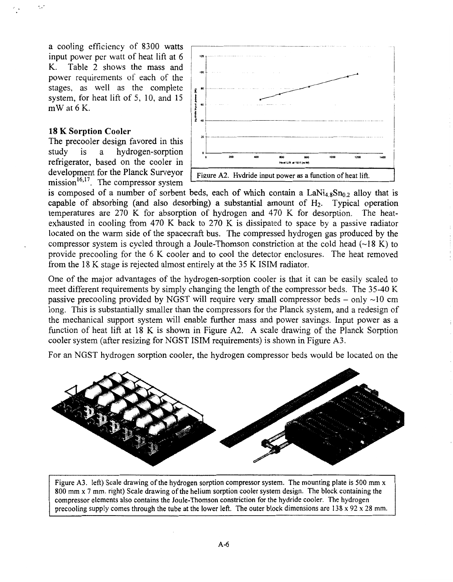a cooling efficiency of 8300 watts input power per watt of heat lift at 6 K. Table 2 shows the mass and power requirements of each of the stages, as well as the complete system, for heat lift of 5, 10, and 15 mW at 6 K.

#### **18 K Sorption Cooler**

<span id="page-5-0"></span>'. .-

The precooler design favored in this<br>study is a hydrogen-sorption study is a hydrogen-sorption refrigerator, based on the cooler in development for the Planck Surveyor mission $^{16,17}$ . The compressor system



is composed of a number of sorbent beds, each of which contain a  $\text{LaNi}_{4.8}\text{Sn}_{0.2}$  alloy that is capable of absorbing (and also desorbing) a substantial amount of H<sub>2</sub>. Typical operation capable of absorbing (and also desorbing) a substantial amount of  $H<sub>2</sub>$ . temperatures are 270 K for absorption of hydrogen and 470 K for desorption. The heatexhausted in cooling from 470 K back to 270 K is dissipated to space by a passive radiator located on the warm side of the spacecraft bus. The compressed hydrogen gas produced by the compressor system is cycled through a Joule-Thomson constriction at the cold head  $(\sim 18 \text{ K})$  to provide precooling for the 6 K cooler and to cool the detector enclosures. The heat removed from the 18 K stage is rejected almost entirely at the 35 K ISIM radiator.

One of the major advantages of the hydrogen-sorption cooler is that it can be easily scaled to meet different requirements by simply changing the length of the compressor beds. The 35-40 K passive precooling provided by NGST will require very small compressor beds  $-$  only  $\sim$ 10 cm long. This is substantially smaller than the compressors for the Planck system, and a redesign of the mechanical support system will enable further mass and power savings. Input power as a function of heat lift at 18 K is shown in Figure A2. A scale drawing of the Planck Sorption cooler system (after resizing for NGST ISIM requirements) is shown in Figure A3.

For an NGST hydrogen sorption cooler, the hydrogen compressor beds would be located on the



Figure **A3.** left) Scale drawing **of** the hydrogen sorption compressor system. The mounting plate is 500 mm **x**  800 mm **x** 7 mm. right) Scale drawing of the helium sorption cooler system design. The block containing the compressor elements also contains the Joule-Thomson constriction for the hydride cooler. The hydrogen precooling supply comes through the tube at the lower left. The outer block dimensions are **138 x** 92 **x 28** mm.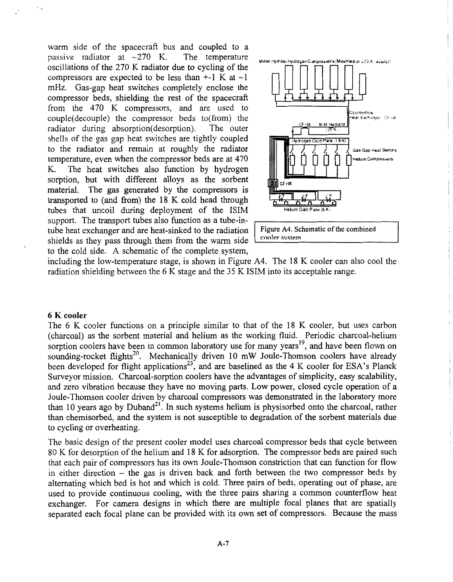warm side of the spacecraft bus and coupled to a passive radiator at  $\sim$ 270 K. The temperature oscillations of the 270 K radiator due to cycling of the compressors are expected to be less than  $+$ -1 K at  $\sim$ 1 mHz. Gas-gap heat switches completely enclose the compressor beds, shielding the rest of the spacecraft from the 470 K compressors, and are used to couple(decouple) the compressor beds to(from) the radiator during absorption(desorption). The outer radiator during absorption(desorption). shells of the gas gap heat switches are tightly coupled to the radiator and remain at roughly the radiator **iii iii**  $\int \int \int \int \int \int \int \int \sin^{2}x \sin^{2}x \, dx$ temperature, even when the compressor beds are at 470 **hlifum Ccnlpru\*rirs**  The heat switches also function by hydrogen sorption, but with different alloys as the sorbent material. The gas generated by the compressors is The gas generated by the compressors is transported to (and fiom) the 18 K cold head through tubes that uncoil during deployment of the ISIM support. The transport tubes also function as a tube-intube heat exchanger and are heat-sinked to the radiation Figure A4. Schematic of the combined shields as they pass through them from the warm side to the cold side. A schematic of the complete system, passive radiator at  $\sim$ 270 K. The temperature **high parameters of approximate** and *it search statements* 



including the low-temperature stage, is shown in Figure A4. The 18 K cooler can also cool the radiation shielding between the 6 K stage and the 35 K ISIM into its acceptable range.

#### **6 K cooler**

The 6 K cooler functions on a principle similar to that of the 18 K cooler, but uses carbon (charcoal) as the sorbent material and helium as the working fluid. Periodic charcoal-helium sorption coolers have been in common laboratory use for many years<sup>19</sup>, and have been flown on sounding-rocket flights<sup>20</sup>. Mechanically driven 10 mW Joule-Thomson coolers have already been developed for flight applications<sup>23</sup>, and are baselined as the 4 K cooler for **ESA**'s Planck Surveyor mission. Charcoal-sorption coolers have the advantages of simplicity, easy scalability, and zero vibration because they have no moving parts. Low power, closed cycle operation of a Joule-Thomson cooler driven by charcoal compressors was demonstrated in the laboratory more than 10 years ago by Duband<sup>21</sup>. In such systems helium is physisorbed onto the charcoal, rather than chemisorbed, and the system is not susceptible to degradation of the sorbent materials due to cycling or overheating.

The basic design of the present cooler model uses charcoal compressor beds that cycle between 80 K for desorption of the helium and 18 K for adsorption. The compressor beds are paired such that each pair of compressors has its own Joule-Thomson constriction that can function for flow in either direction - the gas is driven back and forth between the two compressor beds by alternating which bed is hot and which is cold. Three pairs of beds, operating out of phase, are used to provide continuous cooling, with the three pairs sharing a common counterflow heat exchanger. For camera designs in which there are multiple focal planes that are spatially separated each focal plane can be provided with its own set of compressors. Because the mass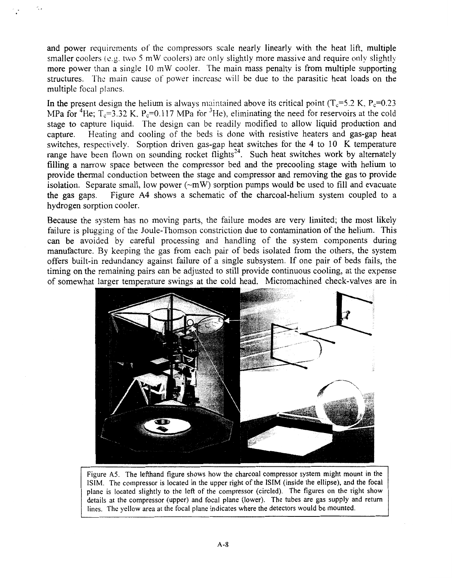<span id="page-7-0"></span>and power requirements of the compressors scale nearly linearly with the heat lift, multiple smaller coolers  $(e.g. two 5 mW cooles)$  are only slightly more massive and require only slightly more power than a single 10 mW cooler. The main mass penalty is from multiple supporting structures. The main cause of power increase will be due to the parasitic heat loads on the multiple focal planes.  $\ddot{\phantom{1}}$ 

In the present design the helium is always maintained above its critical point  $(T_c=5.2 \text{ K}, P_c=0.23 \text{ K})$ MPa for <sup>4</sup>He;  $T_c=3.32$  K, P<sub>c</sub>=0.117 MPa for <sup>3</sup>He), eliminating the need for reservoirs at the cold stage to capture liquid. The design can be readily modified to allow liquid production and capture. Heating and cooling of the beds is done with resistive heaters and gas-gap heat Heating and cooling of the beds is done with resistive heaters and gas-gap heat switches, respectively. Sorption driven gas-gap heat switches for the 4 to 10 K temperature range have been flown on sounding rocket flights<sup>24</sup>. Such heat switches work by alternately filling a narrow space between the compressor bed and the precooling stage with helium to provide thermal conduction between the stage and compressor and removing the gas to provide isolation. Separate small, low power  $(\sim mW)$  sorption pumps would be used to fill and evacuate the gas gaps. Figure A4 shows a schematic of the charcoal-helium system coupled to a Figure A4 shows a schematic of the charcoal-helium system coupled to a hydrogen sorption cooler.

Because the system has no moving parts, the failure modes are very limited; the most likely failure is plugging of the Joule-Thomson constriction due to contamination of the helium. This can be avoided by careful processing and handling of the system components during manufacture. By keeping the gas from each pair of beds isolated from the others, the system offers built-in redundancy against failure of a single subsystem. If one pair of beds fails, the timing on the remaining pairs can be adjusted to still provide continuous cooling, at the expense of somewhat larger temperature swings at the cold head. Micromachined check-valves are in



Figure **A5.** The lefthand figure shows how the charcoal compressor system might mount in the ISIM. The compressor is located in the upper right of the **ISIM** (inside the ellipse), and the focal plane is located slightly to the left of the compressor (circled). The figures on the right show details at the compressor (upper) and focal plane (lower). The tubes are gas supply and return lines. The yellow area at the focal plane indicates where the detectors would be mounted.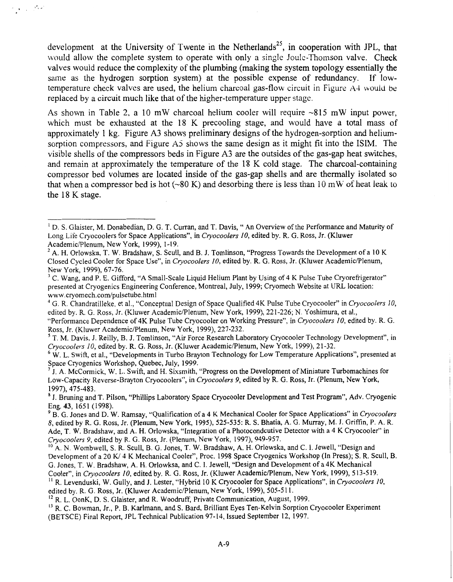development at the University of Twente in the Netherlands<sup>25</sup>, in cooperation with JPL, that would allow the complete system to operate with only a single Joule-Thomson valve. Check valves would reduce the complexity of the plumbing (making the system topology essentially the same as the hydrogen sorption system) at he possible expense of redundancy. If lowtemperature check valves are used, the helium charcoal gas-flow circuit in Figure A4 would **be**  replaced by a circuit much like that of the higher-temperature upper stage.

 $\gamma_{\rm eff}$  , and

**As** shown in Table 2, a 10 mW charcoal helium cooler will require -815 mW input power, which must be exhausted at the 18 K precooling stage, and would have a total mass of approximately 1 kg. [Figure](#page-5-0) **A3** shows preliminary designs of the hydrogen-sorption and heliumsorption compressors, and [Figure A5](#page-7-0) shows the same design as it might fit into the ISIM. The visible shells of the compressors beds in [Figure](#page-5-0) **A3** are the outsides of the gas-gap heat switches, and remain at approximately the temperature of the 18 K cold stage. The charcoal-containing compressor bed volumes are located inside of the gas-gap shells and are thermally isolated so that when a compressor bed is hot  $(-80 \text{ K})$  and desorbing there is less than 10 mW of heat leak to the 18 K stage.

<sup>5</sup> T. M. Davis, J. Reilly, B. J. Tomlinson, "Air Force Research Laboratory Cryocooler Technology Development", in *Cryocoolers 10,* edited by. R. G. Ross, Jr. (Kluwer AcademicPlenum, New York, 1999), 21-32.

W. L. Swift, et al., "Developments in Turbo Brayton Technology for Low Temperature Applications", presented at *6*  Space Cryogenics Workshop, Quebec, July, 1999.

<sup>3</sup> J. Bruning and T. Pilson, "Phillips Laboratory Space Cryocooler Development and Test Program", Adv. Cryogenic Eng. **43,** 165 1 (1998).

<sup>2</sup> R. L. OonK, D. S. Glaister, and R. Woodruff, Private Communication, August, 1999.

<sup>&</sup>lt;sup>1</sup> D. S. Glaister, M. Donabedian, D. G. T. Curran, and T. Davis, "An Overview of the Performance and Maturity of Long Life Cryocoolers for Space Applications", in *Cryocoofers 10,* edited by. R. G. Ross, Jr. (Kluwer Academic/Plenum, New York, 1999), 1-19.

 $^{2}$  A. H. Orlowska, T. W. Bradshaw, S. Scull, and B. J. Tomlinson, "Progress Towards the Development of a 10 K Closed Cycled Cooler for Space Use", in *Cryocoolers 10,* edited by. R. G. Ross, Jr. (Kluwer AcademicPlenum, New York, 1999), 67-76.

presented at Cryogenics Engineering Conference, Montreal, July, 1999; Cryomech Website at URL location: www.cryomech.com/pulsetube.html <sup>3</sup> C. Wang, and P. E. Gifford, "A Small-Scale Liquid Helium Plant by Using of 4 K Pulse Tube Cryorefrigerator"

<sup>&#</sup>x27; G. R. Chandratilleke, et al., "Conceptual Design of Space Qualified 4K Pulse Tube Cryocooler" in *Cryocoolers 10,*  edited by. R. G. Ross, Jr. (Kluwer Academic/Plenum, New York, 1999), 221-226; N. Yoshimura, et al.,

<sup>&</sup>quot;Performance Dependence of 4K Pulse Tube Cryocooler on Working Pressure", in *Cryocoolers IO,* edited by. R. G. Ross, Jr. (Kluwer Academic/Plenum, New York, 1999), 227-232.

J. A. McCormick, W. L. Swift, and H. Sixsmith, "Progress on the Development of Miniature Turbomachines for **7**  Low-Capacity Reverse-Brayton Cryocoolers", in *Cryocoolers 9,* edited by R. G. Ross, Jr. (Plenum, New York, 1997), 475-483.

<sup>8,</sup> edited by R. G. Ross, Jr. (Plenum, New York, 1995), **525-535:** R. **S.** Bhatia, A. G. Murray, M. J. Griffin, P. A. R. Ade, T. W. Bradshaw, and A. **H.** Orlowska, "Integration of a Photocondcutive Detector with a 4 K Cryocooler" in *Cryocoofers 9,* edited by R. G. Ross, Jr. (Plenum, New York, 1997), 949-957. <sup>9</sup> B. G. Jones and D. W. Ramsay, "Qualification of a 4 K Mechanical Cooler for Space Applications" in *Cryocoolers* 

Development of a 20 K/4 K Mechanical Cooler", Proc. 1998 Space Cryogenics Workshop (In Press); S. R. Scull, B. G. Jones, T. W. Bradshaw, A. H. Orlowksa, and C. **I.** Jewell, "Design and Development of a 4K Mechanical Cooler", in *Cryocoofers IO,* edited by. R. G. Ross, Jr. (Kluwer AcademicPlenum, New York, 1999), 513-519. **<sup>10</sup>**A. N. Wombwell, S. R. Scull, B. G. Jones, T. W. Bradshaw, A. H. Orlowska, and C. I. Jewell, "Design and

edited by. R. G. Ross, Jr. (Kluwer Academic/Plenum, New York, 1999), **505-5** 1 1. II R. Levenduski, W. Gully, and **J.** Lester, "Hybrid 10 K Cryocooler for Space Applications", in *Cryocoofers 10,* 

R. C. Bowman, Jr., P. B. Karlmann, and **S.** Bard, Brilliant Eyes Ten-Kelvin Sorption Cryocooler Experiment **13**  (BETSCE) Final Report, JPL Technical Publication 97-14, Issued September 12, 1997.